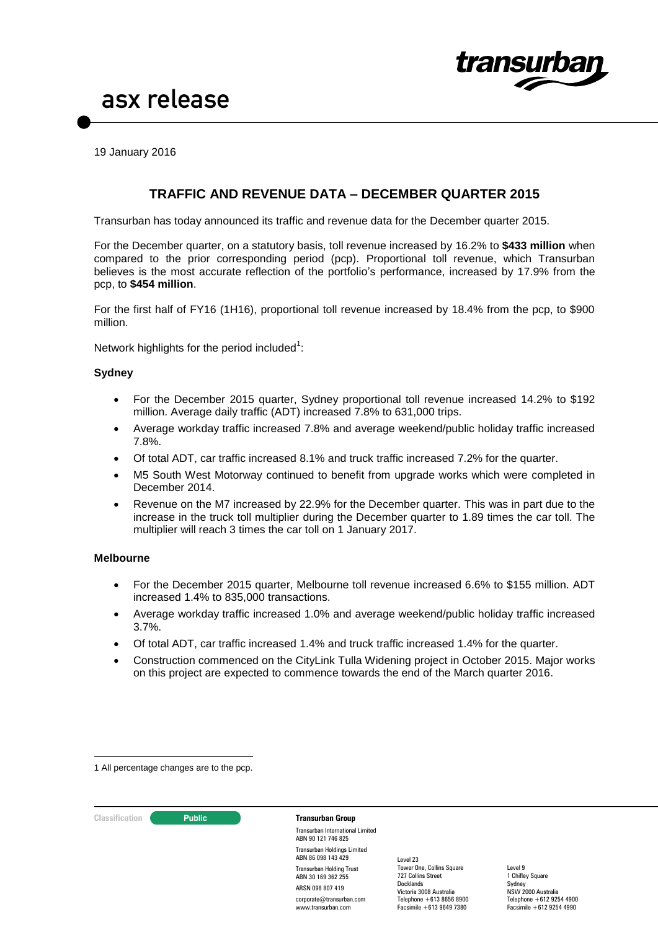

19 January 2016

### **TRAFFIC AND REVENUE DATA – DECEMBER QUARTER 2015**

Transurban has today announced its traffic and revenue data for the December quarter 2015.

For the December quarter, on a statutory basis, toll revenue increased by 16.2% to **\$433 million** when compared to the prior corresponding period (pcp). Proportional toll revenue, which Transurban believes is the most accurate reflection of the portfolio's performance, increased by 17.9% from the pcp, to **\$454 million**.

For the first half of FY16 (1H16), proportional toll revenue increased by 18.4% from the pcp, to \$900 million.

Network highlights for the period included $1$ :

#### **Sydney**

- For the December 2015 quarter, Sydney proportional toll revenue increased 14.2% to \$192 million. Average daily traffic (ADT) increased 7.8% to 631,000 trips.
- Average workday traffic increased 7.8% and average weekend/public holiday traffic increased 7.8%.
- Of total ADT, car traffic increased 8.1% and truck traffic increased 7.2% for the quarter.
- M5 South West Motorway continued to benefit from upgrade works which were completed in December 2014.
- Revenue on the M7 increased by 22.9% for the December quarter. This was in part due to the increase in the truck toll multiplier during the December quarter to 1.89 times the car toll. The multiplier will reach 3 times the car toll on 1 January 2017.

#### **Melbourne**

- For the December 2015 quarter, Melbourne toll revenue increased 6.6% to \$155 million. ADT increased 1.4% to 835,000 transactions.
- Average workday traffic increased 1.0% and average weekend/public holiday traffic increased 3.7%.
- Of total ADT, car traffic increased 1.4% and truck traffic increased 1.4% for the quarter.
- Construction commenced on the CityLink Tulla Widening project in October 2015. Major works on this project are expected to commence towards the end of the March quarter 2016.

1 All percentage changes are to the pcp.

<u>.</u>

## **Classification C Public Transurban Group**

Transurban International Limited ABN 90 121 746 825 Transurban Holdings Limited ABN 86 098 143 429 Transurban Holding Trust ABN 30 169 362 255 ARSN 098 807 419 corporate@transurban.com www.transurban.com

Level 23 Tower One, Collins Square 727 Collins Street Docklands Victoria 3008 Australia Telephone +613 8656 8900 Facsimile +613 9649 7380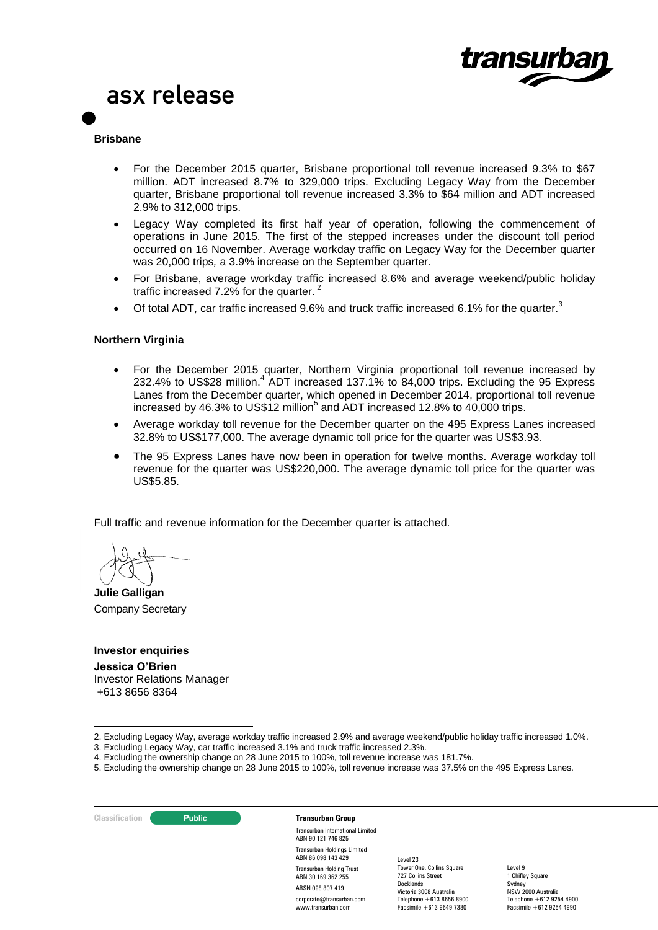



 For the December 2015 quarter, Brisbane proportional toll revenue increased 9.3% to \$67 million. ADT increased 8.7% to 329,000 trips. Excluding Legacy Way from the December quarter, Brisbane proportional toll revenue increased 3.3% to \$64 million and ADT increased 2.9% to 312,000 trips.

transur

- Legacy Way completed its first half year of operation, following the commencement of operations in June 2015. The first of the stepped increases under the discount toll period occurred on 16 November. Average workday traffic on Legacy Way for the December quarter was 20,000 trips*,* a 3.9% increase on the September quarter*.*
- For Brisbane, average workday traffic increased 8.6% and average weekend/public holiday traffic increased 7.2% for the quarter.<sup>2</sup>
- Of total ADT, car traffic increased 9.6% and truck traffic increased 6.1% for the quarter.<sup>3</sup>

#### **Northern Virginia**

- For the December 2015 quarter, Northern Virginia proportional toll revenue increased by 232.4% to US\$28 million.<sup>4</sup> ADT increased 137.1% to 84,000 trips. Excluding the 95 Express Lanes from the December quarter, which opened in December 2014, proportional toll revenue increased by 46.3% to US\$12 million<sup>5</sup> and ADT increased 12.8% to 40,000 trips.
- Average workday toll revenue for the December quarter on the 495 Express Lanes increased 32.8% to US\$177,000. The average dynamic toll price for the quarter was US\$3.93.
- The 95 Express Lanes have now been in operation for twelve months. Average workday toll revenue for the quarter was US\$220,000. The average dynamic toll price for the quarter was US\$5.85.

Full traffic and revenue information for the December quarter is attached.

**Julie Galligan** Company Secretary

#### **Investor enquiries**

**Jessica O'Brien**  Investor Relations Manager +613 8656 8364

- 4. Excluding the ownership change on 28 June 2015 to 100%, toll revenue increase was 181.7%.
- 5. Excluding the ownership change on 28 June 2015 to 100%, toll revenue increase was 37.5% on the 495 Express Lanes.

1

#### **Classification C Public Transurban Group** Transurban International Limited ABN 90 121 746 825

Transurban Holdings Limited ABN 86 098 143 429 Transurban Holding Trust ABN 30 169 362 255 ARSN 098 807 419 corporate@transurban.com www.transurban.com

Level 23 Tower One, Collins Square 727 Collins Street Docklands Victoria 3008 Australia Telephone +613 8656 8900 Facsimile +613 9649 7380

<sup>2.</sup> Excluding Legacy Way, average workday traffic increased 2.9% and average weekend/public holiday traffic increased 1.0%.

<sup>3.</sup> Excluding Legacy Way, car traffic increased 3.1% and truck traffic increased 2.3%.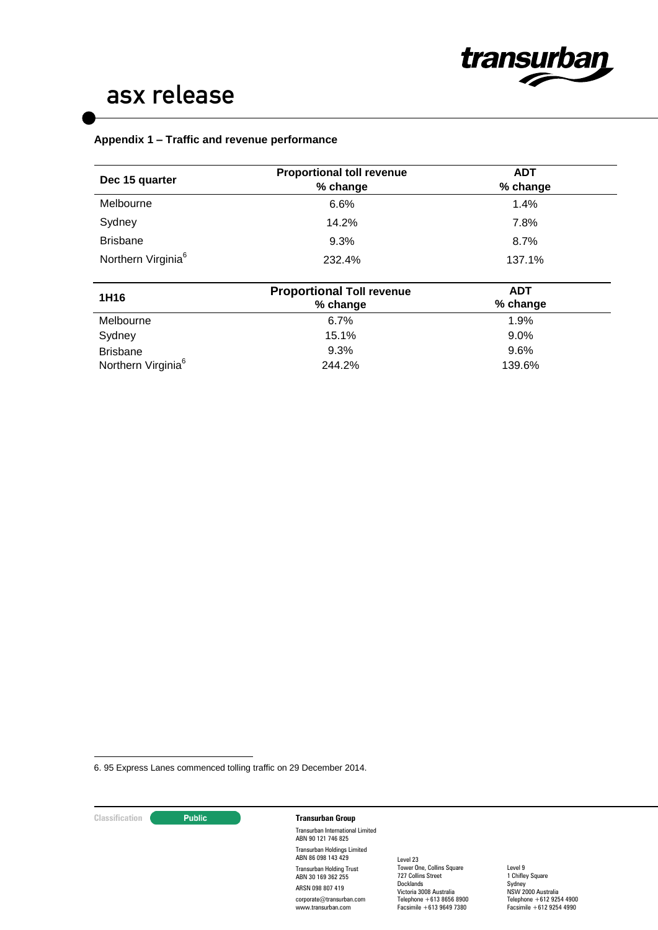

### **Appendix 1 – Traffic and revenue performance**

| Dec 15 quarter                 | <b>Proportional toll revenue</b><br>% change | <b>ADT</b><br>% change |  |
|--------------------------------|----------------------------------------------|------------------------|--|
| Melbourne                      | 6.6%                                         | 1.4%                   |  |
| Sydney                         | 14.2%                                        | 7.8%                   |  |
| <b>Brisbane</b>                | 9.3%                                         | 8.7%                   |  |
| Northern Virginia <sup>6</sup> | 232.4%                                       | 137.1%                 |  |
| 1H16                           | <b>Proportional Toll revenue</b><br>% change | <b>ADT</b><br>% change |  |
| Melbourne                      | 6.7%                                         | 1.9%                   |  |
| Sydney                         | 15.1%                                        | 9.0%                   |  |
| <b>Brisbane</b>                | 9.3%                                         | $9.6\%$                |  |
| Northern Virginia <sup>6</sup> | 244.2%                                       | 139.6%                 |  |

6. 95 Express Lanes commenced tolling traffic on 29 December 2014.

<u>.</u>

## **Classification Transurban Group**

Transurban International Limited ABN 90 121 746 825 Transurban Holdings Limited ABN 86 098 143 429 Transurban Holding Trust ABN 30 169 362 255 ARSN 098 807 419 corporate@transurban.com www.transurban.com

Level 23 Tower One, Collins Square 727 Collins Street **Docklands** Victoria 3008 Australia Telephone +613 8656 8900 Facsimile +613 9649 7380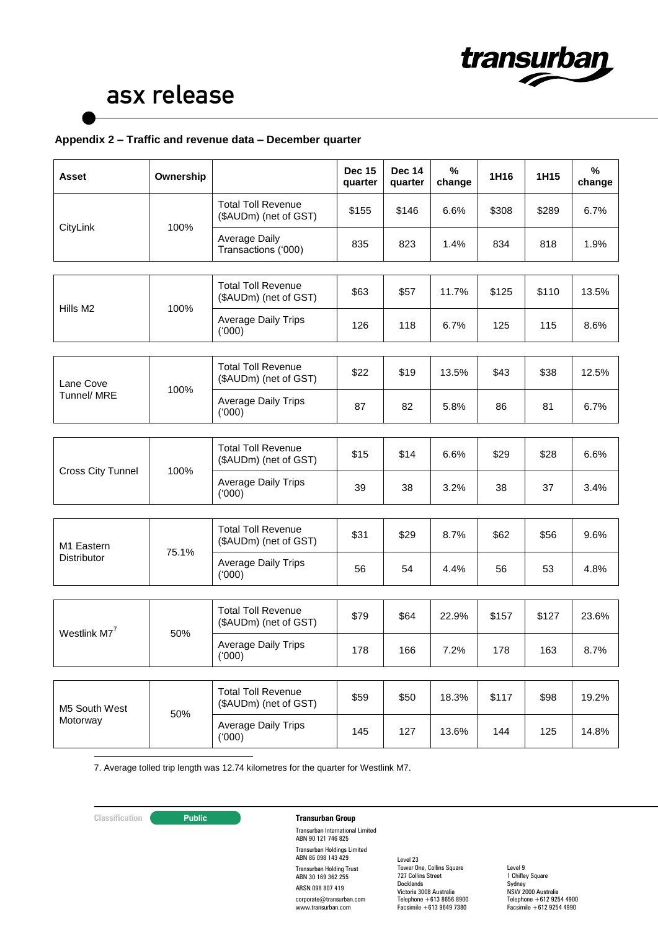

### **Appendix 2 – Traffic and revenue data – December quarter**

| Asset                     | Ownership |                                                    | <b>Dec 15</b><br>quarter | <b>Dec 14</b><br>quarter | %<br>change | 1H16  | 1H15  | %<br>change |
|---------------------------|-----------|----------------------------------------------------|--------------------------|--------------------------|-------------|-------|-------|-------------|
|                           |           | <b>Total Toll Revenue</b><br>(\$AUDm) (net of GST) | \$155                    | \$146                    | 6.6%        | \$308 | \$289 | 6.7%        |
| CityLink                  | 100%      | <b>Average Daily</b><br>Transactions ('000)        | 835                      | 823                      | 1.4%        | 834   | 818   | 1.9%        |
|                           |           |                                                    |                          |                          |             |       |       |             |
|                           |           | <b>Total Toll Revenue</b><br>(\$AUDm) (net of GST) | \$63                     | \$57                     | 11.7%       | \$125 | \$110 | 13.5%       |
| Hills M2                  | 100%      | <b>Average Daily Trips</b><br>(000)                | 126                      | 118                      | 6.7%        | 125   | 115   | 8.6%        |
|                           |           |                                                    |                          |                          |             |       |       |             |
| Lane Cove                 |           | <b>Total Toll Revenue</b><br>(\$AUDm) (net of GST) | \$22                     | \$19                     | 13.5%       | \$43  | \$38  | 12.5%       |
| Tunnel/ MRE               | 100%      | <b>Average Daily Trips</b><br>(000)                | 87                       | 82                       | 5.8%        | 86    | 81    | 6.7%        |
|                           |           |                                                    |                          |                          |             |       |       |             |
|                           | 100%      | <b>Total Toll Revenue</b><br>(\$AUDm) (net of GST) | \$15                     | \$14                     | 6.6%        | \$29  | \$28  | 6.6%        |
| <b>Cross City Tunnel</b>  |           | Average Daily Trips<br>(000)                       | 39                       | 38                       | 3.2%        | 38    | 37    | 3.4%        |
|                           |           |                                                    |                          |                          |             |       |       |             |
| M1 Eastern                |           | <b>Total Toll Revenue</b><br>(\$AUDm) (net of GST) | \$31                     | \$29                     | 8.7%        | \$62  | \$56  | 9.6%        |
| <b>Distributor</b>        | 75.1%     | <b>Average Daily Trips</b><br>(000)                | 56                       | 54                       | 4.4%        | 56    | 53    | 4.8%        |
|                           |           |                                                    |                          |                          |             |       |       |             |
|                           |           | <b>Total Toll Revenue</b><br>(\$AUDm) (net of GST) | \$79                     | \$64                     | 22.9%       | \$157 | \$127 | 23.6%       |
| Westlink M7 <sup>7</sup>  | 50%       | <b>Average Daily Trips</b><br>(000)                | 178                      | 166                      | 7.2%        | 178   | 163   | 8.7%        |
|                           |           |                                                    |                          |                          |             |       |       |             |
| M5 South West<br>Motorway | 50%       | <b>Total Toll Revenue</b><br>(\$AUDm) (net of GST) | \$59                     | \$50                     | 18.3%       | \$117 | \$98  | 19.2%       |
|                           |           | <b>Average Daily Trips</b><br>(000)                | 145                      | 127                      | 13.6%       | 144   | 125   | 14.8%       |

<u>.</u> 7. Average tolled trip length was 12.74 kilometres for the quarter for Westlink M7.

## **Classification Public <b>Transurban Group**

Transurban International Limited ABN 90 121 746 825 Transurban Holdings Limited ABN 86 098 143 429 Transurban Holding Trust ABN 30 169 362 255 ARSN 098 807 419 corporate@transurban.com www.transurban.com

Level 23 Tower One, Collins Square 727 Collins Street **Docklands** Victoria 3008 Australia Telephone +613 8656 8900 Facsimile +613 9649 7380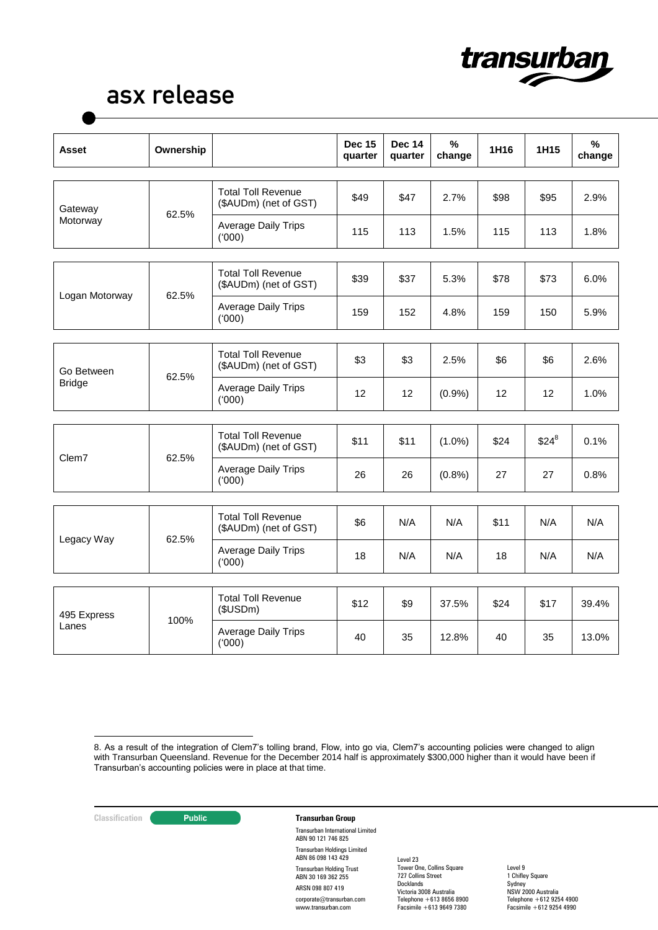

| Asset                       | Ownership |                                                    | <b>Dec 15</b><br>quarter | <b>Dec 14</b><br>quarter | %<br>change | 1H16 | 1H15    | %<br>change |
|-----------------------------|-----------|----------------------------------------------------|--------------------------|--------------------------|-------------|------|---------|-------------|
| Gateway                     |           | <b>Total Toll Revenue</b><br>(\$AUDm) (net of GST) | \$49                     | \$47                     | 2.7%        | \$98 | \$95    | 2.9%        |
| Motorway                    | 62.5%     | <b>Average Daily Trips</b><br>(000)                | 115                      | 113                      | 1.5%        | 115  | 113     | 1.8%        |
| Logan Motorway              |           | <b>Total Toll Revenue</b><br>(\$AUDm) (net of GST) | \$39                     | \$37                     | 5.3%        | \$78 | \$73    | 6.0%        |
|                             | 62.5%     | <b>Average Daily Trips</b><br>(000)                | 159                      | 152                      | 4.8%        | 159  | 150     | 5.9%        |
| Go Between<br><b>Bridge</b> | 62.5%     | <b>Total Toll Revenue</b><br>(\$AUDm) (net of GST) | \$3                      | \$3                      | 2.5%        | \$6  | \$6     | 2.6%        |
|                             |           | <b>Average Daily Trips</b><br>(000)                | 12                       | 12                       | (0.9%       | 12   | 12      | 1.0%        |
|                             |           | <b>Total Toll Revenue</b>                          |                          |                          |             |      |         |             |
| Clem7                       | 62.5%     | (\$AUDm) (net of GST)                              | \$11                     | \$11                     | $(1.0\%)$   | \$24 | $$24^8$ | 0.1%        |
|                             |           | Average Daily Trips<br>(000)                       | 26                       | 26                       | (0.8% )     | 27   | 27      | 0.8%        |
|                             |           |                                                    |                          |                          |             |      |         |             |
| Legacy Way                  | 62.5%     | <b>Total Toll Revenue</b><br>(\$AUDm) (net of GST) | \$6                      | N/A                      | N/A         | \$11 | N/A     | N/A         |
|                             |           | <b>Average Daily Trips</b><br>(000)                | 18                       | N/A                      | N/A         | 18   | N/A     | N/A         |
|                             |           |                                                    |                          |                          |             |      |         |             |
| 495 Express<br>Lanes        | 100%      | <b>Total Toll Revenue</b><br>(\$USDm)              | \$12                     | \$9                      | 37.5%       | \$24 | \$17    | 39.4%       |
|                             |           | <b>Average Daily Trips</b><br>(000)                | 40                       | 35                       | 12.8%       | 40   | 35      | 13.0%       |

# **Classification Transurban Group**

Transurban International Limited ABN 90 121 746 825 Transurban Holdings Limited ABN 86 098 143 429 Transurban Holding Trust ABN 30 169 362 255 ARSN 098 807 419 corporate@transurban.com www.transurban.com

Level 23 Tower One, Collins Square 727 Collins Street **Docklands** Victoria 3008 Australia Telephone +613 8656 8900 Facsimile +613 9649 7380

<sup>&</sup>lt;u>.</u> 8. As a result of the integration of Clem7's tolling brand, Flow, into go via, Clem7's accounting policies were changed to align with Transurban Queensland. Revenue for the December 2014 half is approximately \$300,000 higher than it would have been if Transurban's accounting policies were in place at that time.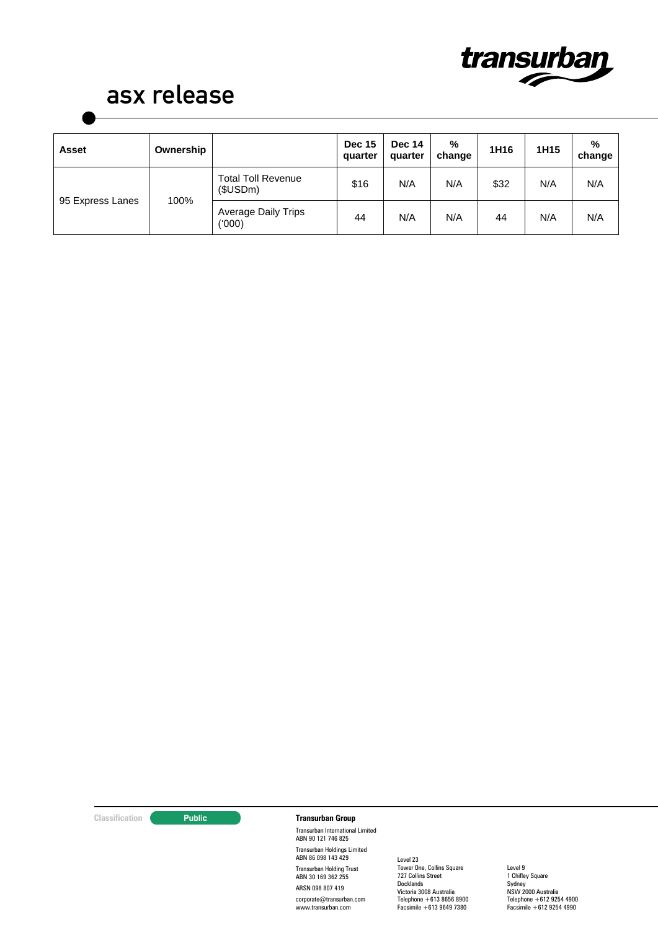

| <b>Asset</b>     | Ownership |                                       | <b>Dec 15</b><br>quarter | <b>Dec 14</b><br>quarter | %<br>change | 1H16 | 1H15 | %<br>change |
|------------------|-----------|---------------------------------------|--------------------------|--------------------------|-------------|------|------|-------------|
| 95 Express Lanes | 100%      | <b>Total Toll Revenue</b><br>\$USDm\$ | \$16                     | N/A                      | N/A         | \$32 | N/A  | N/A         |
|                  |           | <b>Average Daily Trips</b><br>(000)   | 44                       | N/A                      | N/A         | 44   | N/A  | N/A         |

### **Classification Transurban Group**

Transurban International Limited ABN 90 121 746 825 Transurban Holdings Limited ABN 86 098 143 429 Transurban Holding Trust ABN 30 169 362 255 ARSN 098 807 419 corporate@transurban.com www.transurban.com

Level 23 Tower One, Collins Square 727 Collins Street **Docklands** Victoria 3008 Australia Telephone +613 8656 8900 Facsimile +613 9649 7380